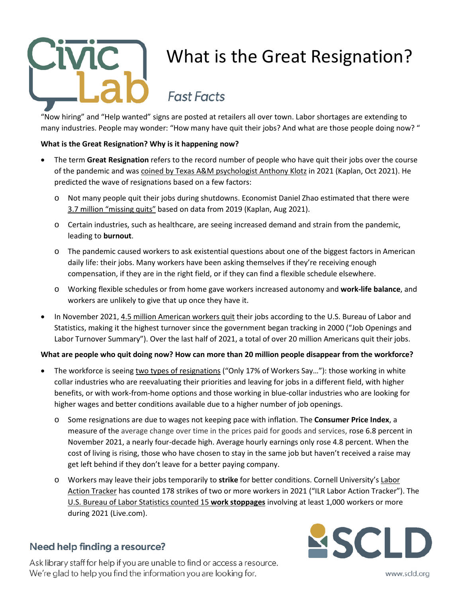

# What is the Great Resignation?

## **Fast Facts**

"Now hiring" and "Help wanted" signs are posted at retailers all over town. Labor shortages are extending to many industries. People may wonder: "How many have quit their jobs? And what are those people doing now?"

#### **What is the Great Resignation? Why is it happening now?**

- The term **Great Resignation** refers to the record number of people who have quit their jobs over the course of the pandemic and was [coined by Texas A&M psychologist Anthony Klotz](https://www.businessinsider.com/why-everyone-is-quitting-great-resignation-psychologist-pandemic-rethink-life-2021-10) in 2021 (Kaplan, Oct 2021). He predicted the wave of resignations based on a few factors:
	- o Not many people quit their jobs during shutdowns. Economist Daniel Zhao estimated that there were [3.7 million "missing quits"](https://www.businessinsider.com/37-million-more-people-would-quit-jobs-if-no-pandemic-2021-8) based on data from 2019 (Kaplan, Aug 2021).
	- o Certain industries, such as healthcare, are seeing increased demand and strain from the pandemic, leading to **burnout**.
	- o The pandemic caused workers to ask existential questions about one of the biggest factors in American daily life: their jobs. Many workers have been asking themselves if they're receiving enough compensation, if they are in the right field, or if they can find a flexible schedule elsewhere.
	- o Working flexible schedules or from home gave workers increased autonomy and **work-life balance**, and workers are unlikely to give that up once they have it.
- In November 2021, [4.5 million American workers quit](https://www.bls.gov/news.release/jolts.nr0.htm) their jobs according to the U.S. Bureau of Labor and Statistics, making it the highest turnover since the government began tracking in 2000 ("Job Openings and Labor Turnover Summary"). Over the last half of 2021, a total of over 20 million Americans quit their jobs.

#### **What are people who quit doing now? How can more than 20 million people disappear from the workforce?**

- The workforce is seein[g two types of resignations](https://www.nytimes.com/2022/01/04/business/economy/worker-pay-inflation.html) ("Only 17% of Workers Say..."): those working in white collar industries who are reevaluating their priorities and leaving for jobs in a different field, with higher benefits, or with work-from-home options and those working in blue-collar industries who are looking for higher wages and better conditions available due to a higher number of job openings.
	- o Some resignations are due to wages not keeping pace with inflation. The **Consumer Price Index**, a measure of the average change over time in the prices paid for goods and services, rose 6.8 percent in November 2021, a nearly four-decade high. Average hourly earnings only rose 4.8 percent. When the cost of living is rising, those who have chosen to stay in the same job but haven't received a raise may get left behind if they don't leave for a better paying company.
	- o Workers may leave their jobs temporarily to **strike** for better conditions. Cornell University's [Labor](https://striketracker.ilr.cornell.edu/)  [Action Tracker](https://striketracker.ilr.cornell.edu/) has counted 178 strikes of two or more workers in 2021 ("ILR Labor Action Tracker"). The [U.S. Bureau of Labor Statistics counted 15](https://view.officeapps.live.com/op/view.aspx?src=https%3A%2F%2Fwww.bls.gov%2Fwsp%2Fpublications%2Fmonthly-details%2FXLSX%2Fwork-stoppages-2021.xlsx&wdOrigin=BROWSELINK) **work stoppages** involving at least 1,000 workers or more during 2021 (Live.com).

### Need help finding a resource?

Ask library staff for help if you are unable to find or access a resource. We're glad to help you find the information you are looking for.



www.scld.org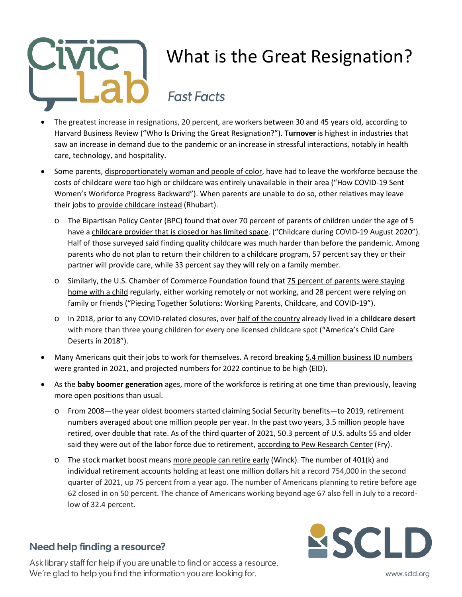

# What is the Great Resignation?

## **Fast Facts**

- The greatest increase in resignations, 20 percent, are [workers between 30 and 45 years old,](https://hbr.org/2021/09/who-is-driving-the-great-resignation) according to Harvard Business Review ("Who Is Driving the Great Resignation?"). **Turnover** is highest in industries that saw an increase in demand due to the pandemic or an increase in stressful interactions, notably in health care, technology, and hospitality.
- Some parents, disproportionately [woman and people of color,](https://www.americanprogress.org/article/covid-19-sent-womens-workforce-progress-backward/) have had to leave the workforce because the costs of childcare were too high or childcare was entirely unavailable in their area ("How COVID-19 Sent Women's Workforce Progress Backward"). When parents are unable to do so, other relatives may leave their jobs to [provide childcare](https://surface.syr.edu/lerner/54/) instead (Rhubart).
	- o The Bipartisan Policy Center (BPC) found that over 70 percent of parents of children under the age of 5 have [a childcare provider that is closed or has limited space.](https://bipartisanpolicy.org/download/?file=/wp-content/uploads/2020/08/BPC-Child-Care-Survey-Analysis_8.21.2020-1.pdf) ("Childcare during COVID-19 August 2020"). Half of those surveyed said finding quality childcare was much harder than before the pandemic. Among parents who do not plan to return their children to a childcare program, 57 percent say they or their partner will provide care, while 33 percent say they will rely on a family member.
	- o Similarly, the U.S. Chamber of Commerce Foundation found tha[t 75 percent of parents were staying](https://www.uschamberfoundation.org/sites/default/files/media-uploads/EarlyEd_Minis_Report1_FINAL_081120_appndx%20%28002%29.pdf)  [home with a child](https://www.uschamberfoundation.org/sites/default/files/media-uploads/EarlyEd_Minis_Report1_FINAL_081120_appndx%20%28002%29.pdf) regularly, either working remotely or not working, and 28 percent were relying on family or friends ("Piecing Together Solutions: Working Parents, Childcare, and COVID-19").
	- o In 2018, prior to any COVID-related closures, ove[r half of the country](https://www.americanprogress.org/article/americas-child-care-deserts-2018/) already lived in a **childcare desert** with more than three young children for every one licensed childcare spot ("America's Child Care Deserts in 2018").
- Many Americans quit their jobs to work for themselves. A record breaking [5.4 million business ID numbers](https://www.census.gov/econ/bfs/index.html) were granted in 2021, and projected numbers for 2022 continue to be high (EID).
- As the **baby boomer generation** ages, more of the workforce is retiring at one time than previously, leaving more open positions than usual.
	- o From 2008—the year oldest boomers started claiming Social Security benefits—to 2019, retirement numbers averaged about one million people per year. In the past two years, 3.5 million people have retired, over double that rate. As of the third quarter of 2021, 50.3 percent of U.S. adults 55 and older said they were out of the labor force due to retirement, [according to Pew Research Center](https://www.pewresearch.org/fact-tank/2021/11/04/amid-the-pandemic-a-rising-share-of-older-u-s-adults-are-now-retired/) (Fry).
	- $\circ$  The stock market boost mean[s more people can retire early](https://www.businessinsider.com/new-retirement-age-labor-market-great-resignation-boomers-golden-decade-2021-9) (Winck). The number of 401(k) and individual retirement accounts holding at least one million dollars hit a record 754,000 in the second quarter of 2021, up 75 percent from a year ago. The number of Americans planning to retire before age 62 closed in on 50 percent. The chance of Americans working beyond age 67 also fell in July to a recordlow of 32.4 percent.

### Need help finding a resource?

Ask library staff for help if you are unable to find or access a resource. We're glad to help you find the information you are looking for.



www.scld.org